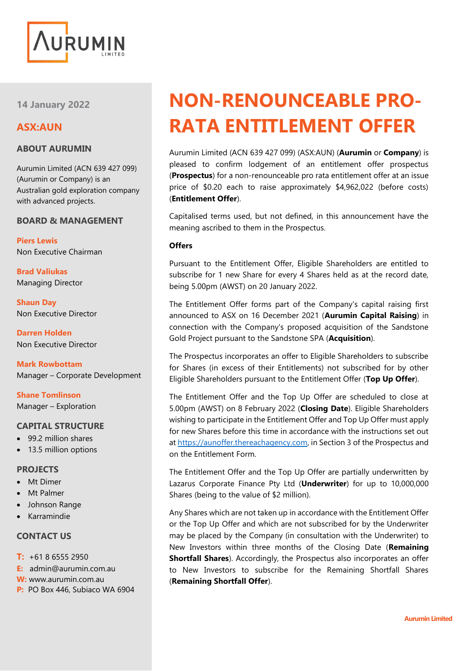

**14 January 2022**

# **ASX:AUN**

#### **ABOUT AURUMIN**

Aurumin Limited (ACN 639 427 099) (Aurumin or Company) is an Australian gold exploration company with advanced projects.

#### **BOARD & MANAGEMENT**

**Piers Lewis** Non Executive Chairman

**Brad Valiukas** Managing Director

**Shaun Day** Non Executive Director

**Darren Holden** Non Executive Director

**Mark Rowbottam** Manager – Corporate Development

**Shane Tomlinson** Manager – Exploration

#### **CAPITAL STRUCTURE**

- 99.2 million shares
- 13.5 million options

#### **PROJECTS**

- Mt Dimer
- **Mt Palmer**
- Johnson Range
- Karramindie

#### **CONTACT US**

- **T:** +61 8 6555 2950
- **E:** admin@aurumin.com.au
- **W:** www.aurumin.com.au
- **P:** PO Box 446, Subiaco WA 6904

# **NON-RENOUNCEABLE PRO-RATA ENTITLEMENT OFFER**

Aurumin Limited (ACN 639 427 099) (ASX:AUN) (**Aurumin** or **Company**) is pleased to confirm lodgement of an entitlement offer prospectus (**Prospectus**) for a non-renounceable pro rata entitlement offer at an issue price of \$0.20 each to raise approximately \$4,962,022 (before costs) (**Entitlement Offer**).

Capitalised terms used, but not defined, in this announcement have the meaning ascribed to them in the Prospectus.

#### **Offers**

Pursuant to the Entitlement Offer, Eligible Shareholders are entitled to subscribe for 1 new Share for every 4 Shares held as at the record date, being 5.00pm (AWST) on 20 January 2022.

The Entitlement Offer forms part of the Company's capital raising first announced to ASX on 16 December 2021 (**Aurumin Capital Raising**) in connection with the Company's proposed acquisition of the Sandstone Gold Project pursuant to the Sandstone SPA (**Acquisition**).

The Prospectus incorporates an offer to Eligible Shareholders to subscribe for Shares (in excess of their Entitlements) not subscribed for by other Eligible Shareholders pursuant to the Entitlement Offer (**Top Up Offer**).

The Entitlement Offer and the Top Up Offer are scheduled to close at 5.00pm (AWST) on 8 February 2022 (**Closing Date**). Eligible Shareholders wishing to participate in the Entitlement Offer and Top Up Offer must apply for new Shares before this time in accordance with the instructions set out a[t https://aunoffer.thereachagency.com,](https://aunoffer.thereachagency.com/) in Section 3 of the Prospectus and on the Entitlement Form.

The Entitlement Offer and the Top Up Offer are partially underwritten by Lazarus Corporate Finance Pty Ltd (**Underwriter**) for up to 10,000,000 Shares (being to the value of \$2 million).

Any Shares which are not taken up in accordance with the Entitlement Offer or the Top Up Offer and which are not subscribed for by the Underwriter may be placed by the Company (in consultation with the Underwriter) to New Investors within three months of the Closing Date (**Remaining Shortfall Shares**). Accordingly, the Prospectus also incorporates an offer to New Investors to subscribe for the Remaining Shortfall Shares (**Remaining Shortfall Offer**).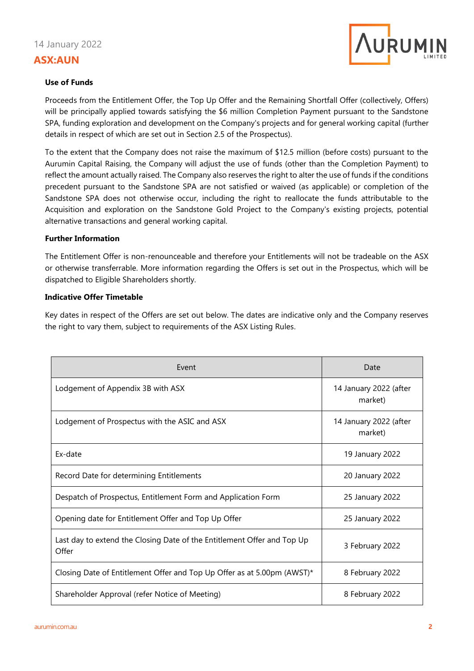

#### **Use of Funds**

Proceeds from the Entitlement Offer, the Top Up Offer and the Remaining Shortfall Offer (collectively, Offers) will be principally applied towards satisfying the \$6 million Completion Payment pursuant to the Sandstone SPA, funding exploration and development on the Company's projects and for general working capital (further details in respect of which are set out in Section 2.5 of the Prospectus).

To the extent that the Company does not raise the maximum of \$12.5 million (before costs) pursuant to the Aurumin Capital Raising, the Company will adjust the use of funds (other than the Completion Payment) to reflect the amount actually raised. The Company also reserves the right to alter the use of funds if the conditions precedent pursuant to the Sandstone SPA are not satisfied or waived (as applicable) or completion of the Sandstone SPA does not otherwise occur, including the right to reallocate the funds attributable to the Acquisition and exploration on the Sandstone Gold Project to the Company's existing projects, potential alternative transactions and general working capital.

#### **Further Information**

The Entitlement Offer is non-renounceable and therefore your Entitlements will not be tradeable on the ASX or otherwise transferrable. More information regarding the Offers is set out in the Prospectus, which will be dispatched to Eligible Shareholders shortly.

#### **Indicative Offer Timetable**

Key dates in respect of the Offers are set out below. The dates are indicative only and the Company reserves the right to vary them, subject to requirements of the ASX Listing Rules.

| Event                                                                            | Date                              |
|----------------------------------------------------------------------------------|-----------------------------------|
| Lodgement of Appendix 3B with ASX                                                | 14 January 2022 (after<br>market) |
| Lodgement of Prospectus with the ASIC and ASX                                    | 14 January 2022 (after<br>market) |
| Ex-date                                                                          | 19 January 2022                   |
| Record Date for determining Entitlements                                         | 20 January 2022                   |
| Despatch of Prospectus, Entitlement Form and Application Form                    | 25 January 2022                   |
| Opening date for Entitlement Offer and Top Up Offer                              | 25 January 2022                   |
| Last day to extend the Closing Date of the Entitlement Offer and Top Up<br>Offer | 3 February 2022                   |
| Closing Date of Entitlement Offer and Top Up Offer as at 5.00pm (AWST)*          | 8 February 2022                   |
| Shareholder Approval (refer Notice of Meeting)                                   | 8 February 2022                   |